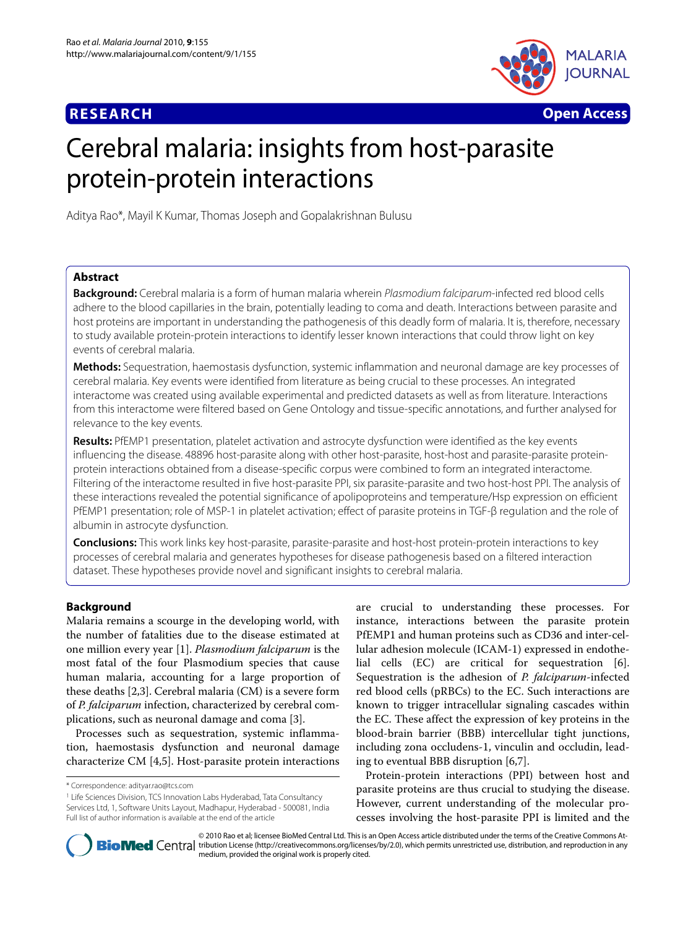# **RESEARCH Open Access**



# Cerebral malaria: insights from host-parasite protein-protein interactions

Aditya Rao\*, Mayil K Kumar, Thomas Joseph and Gopalakrishnan Bulusu

# **Abstract**

**Background:** Cerebral malaria is a form of human malaria wherein Plasmodium falciparum-infected red blood cells adhere to the blood capillaries in the brain, potentially leading to coma and death. Interactions between parasite and host proteins are important in understanding the pathogenesis of this deadly form of malaria. It is, therefore, necessary to study available protein-protein interactions to identify lesser known interactions that could throw light on key events of cerebral malaria.

**Methods:** Sequestration, haemostasis dysfunction, systemic inflammation and neuronal damage are key processes of cerebral malaria. Key events were identified from literature as being crucial to these processes. An integrated interactome was created using available experimental and predicted datasets as well as from literature. Interactions from this interactome were filtered based on Gene Ontology and tissue-specific annotations, and further analysed for relevance to the key events.

**Results:** PfEMP1 presentation, platelet activation and astrocyte dysfunction were identified as the key events influencing the disease. 48896 host-parasite along with other host-parasite, host-host and parasite-parasite proteinprotein interactions obtained from a disease-specific corpus were combined to form an integrated interactome. Filtering of the interactome resulted in five host-parasite PPI, six parasite-parasite and two host-host PPI. The analysis of these interactions revealed the potential significance of apolipoproteins and temperature/Hsp expression on efficient PfEMP1 presentation; role of MSP-1 in platelet activation; effect of parasite proteins in TGF-β regulation and the role of albumin in astrocyte dysfunction.

**Conclusions:** This work links key host-parasite, parasite-parasite and host-host protein-protein interactions to key processes of cerebral malaria and generates hypotheses for disease pathogenesis based on a filtered interaction dataset. These hypotheses provide novel and significant insights to cerebral malaria.

# **Background**

Malaria remains a scourge in the developing world, with the number of fatalities due to the disease estimated at one million every year [[1\]](#page-5-0). *Plasmodium falciparum* is the most fatal of the four Plasmodium species that cause human malaria, accounting for a large proportion of these deaths [\[2](#page-5-1),[3](#page-5-2)]. Cerebral malaria (CM) is a severe form of *P. falciparum* infection, characterized by cerebral complications, such as neuronal damage and coma [[3\]](#page-5-2).

Processes such as sequestration, systemic inflammation, haemostasis dysfunction and neuronal damage characterize CM [\[4](#page-5-3)[,5](#page-5-4)]. Host-parasite protein interactions are crucial to understanding these processes. For instance, interactions between the parasite protein PfEMP1 and human proteins such as CD36 and inter-cellular adhesion molecule (ICAM-1) expressed in endothelial cells (EC) are critical for sequestration [\[6](#page-5-5)]. Sequestration is the adhesion of *P. falciparum*-infected red blood cells (pRBCs) to the EC. Such interactions are known to trigger intracellular signaling cascades within the EC. These affect the expression of key proteins in the blood-brain barrier (BBB) intercellular tight junctions, including zona occludens-1, vinculin and occludin, leading to eventual BBB disruption [[6](#page-5-5),[7\]](#page-5-6).

Protein-protein interactions (PPI) between host and parasite proteins are thus crucial to studying the disease. However, current understanding of the molecular processes involving the host-parasite PPI is limited and the



© 2010 Rao et al; licensee BioMed Central Ltd. This is an Open Access article distributed under the terms of the Creative Commons At-**Bio Med** Central tribution License (http://creativecommons.org/licenses/by/2.0), which permits unrestricted use, distribution, and reproduction in any medium, provided the original work is properly cited.

<sup>\*</sup> Correspondence: adityar.rao@tcs.com

<sup>1</sup> Life Sciences Division, TCS Innovation Labs Hyderabad, Tata Consultancy Services Ltd, 1, Software Units Layout, Madhapur, Hyderabad - 500081, India Full list of author information is available at the end of the article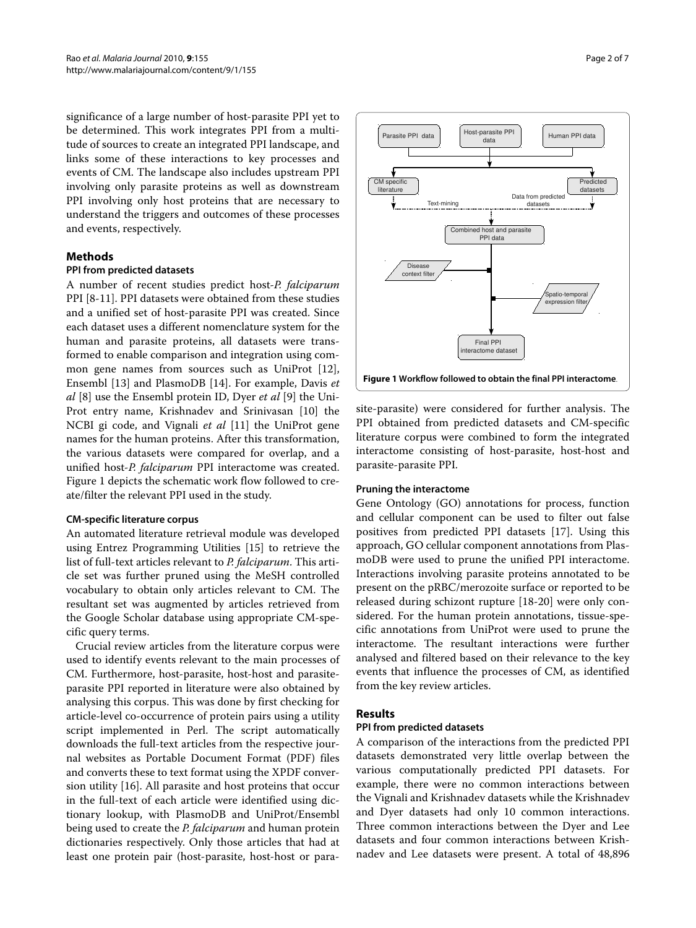significance of a large number of host-parasite PPI yet to be determined. This work integrates PPI from a multitude of sources to create an integrated PPI landscape, and links some of these interactions to key processes and events of CM. The landscape also includes upstream PPI involving only parasite proteins as well as downstream PPI involving only host proteins that are necessary to understand the triggers and outcomes of these processes and events, respectively.

# **Methods**

# **PPI from predicted datasets**

A number of recent studies predict host-*P. falciparum* PPI [[8-](#page-5-7)[11](#page-5-8)]. PPI datasets were obtained from these studies and a unified set of host-parasite PPI was created. Since each dataset uses a different nomenclature system for the human and parasite proteins, all datasets were transformed to enable comparison and integration using common gene names from sources such as UniProt [\[12](#page-5-9)], Ensembl [\[13](#page-5-10)] and PlasmoDB [\[14](#page-5-11)]. For example, Davis *et al* [\[8](#page-5-7)] use the Ensembl protein ID, Dyer *et al* [\[9](#page-5-12)] the Uni-Prot entry name, Krishnadev and Srinivasan [\[10](#page-5-13)] the NCBI gi code, and Vignali *et al* [\[11](#page-5-8)] the UniProt gene names for the human proteins. After this transformation, the various datasets were compared for overlap, and a unified host-*P. falciparum* PPI interactome was created. Figure [1](#page-1-0) depicts the schematic work flow followed to create/filter the relevant PPI used in the study.

#### **CM-specific literature corpus**

An automated literature retrieval module was developed using Entrez Programming Utilities [[15\]](#page-5-14) to retrieve the list of full-text articles relevant to *P. falciparum*. This article set was further pruned using the MeSH controlled vocabulary to obtain only articles relevant to CM. The resultant set was augmented by articles retrieved from the Google Scholar database using appropriate CM-specific query terms.

Crucial review articles from the literature corpus were used to identify events relevant to the main processes of CM. Furthermore, host-parasite, host-host and parasiteparasite PPI reported in literature were also obtained by analysing this corpus. This was done by first checking for article-level co-occurrence of protein pairs using a utility script implemented in Perl. The script automatically downloads the full-text articles from the respective journal websites as Portable Document Format (PDF) files and converts these to text format using the XPDF conversion utility [\[16](#page-5-15)]. All parasite and host proteins that occur in the full-text of each article were identified using dictionary lookup, with PlasmoDB and UniProt/Ensembl being used to create the *P. falciparum* and human protein dictionaries respectively. Only those articles that had at least one protein pair (host-parasite, host-host or para-



<span id="page-1-0"></span>

**Figure 1 Workflow followed to obtain the final PPI interactome**.

site-parasite) were considered for further analysis. The PPI obtained from predicted datasets and CM-specific literature corpus were combined to form the integrated interactome consisting of host-parasite, host-host and parasite-parasite PPI.

#### **Pruning the interactome**

Gene Ontology (GO) annotations for process, function and cellular component can be used to filter out false positives from predicted PPI datasets [[17\]](#page-5-16). Using this approach, GO cellular component annotations from PlasmoDB were used to prune the unified PPI interactome. Interactions involving parasite proteins annotated to be present on the pRBC/merozoite surface or reported to be released during schizont rupture [[18](#page-5-17)[-20](#page-5-18)] were only considered. For the human protein annotations, tissue-specific annotations from UniProt were used to prune the interactome. The resultant interactions were further analysed and filtered based on their relevance to the key events that influence the processes of CM, as identified from the key review articles.

#### **Results**

#### **PPI from predicted datasets**

A comparison of the interactions from the predicted PPI datasets demonstrated very little overlap between the various computationally predicted PPI datasets. For example, there were no common interactions between the Vignali and Krishnadev datasets while the Krishnadev and Dyer datasets had only 10 common interactions. Three common interactions between the Dyer and Lee datasets and four common interactions between Krishnadev and Lee datasets were present. A total of 48,896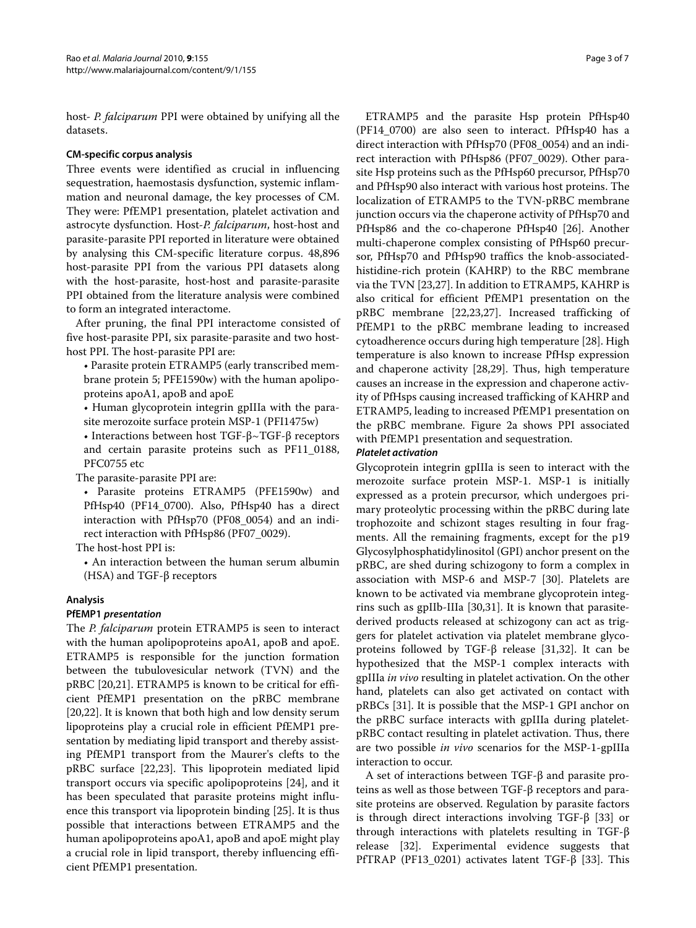host- *P. falciparum* PPI were obtained by unifying all the datasets.

# **CM-specific corpus analysis**

Three events were identified as crucial in influencing sequestration, haemostasis dysfunction, systemic inflammation and neuronal damage, the key processes of CM. They were: PfEMP1 presentation, platelet activation and astrocyte dysfunction. Host-*P. falciparum*, host-host and parasite-parasite PPI reported in literature were obtained by analysing this CM-specific literature corpus. 48,896 host-parasite PPI from the various PPI datasets along with the host-parasite, host-host and parasite-parasite PPI obtained from the literature analysis were combined to form an integrated interactome.

After pruning, the final PPI interactome consisted of five host-parasite PPI, six parasite-parasite and two hosthost PPI. The host-parasite PPI are:

• Parasite protein ETRAMP5 (early transcribed membrane protein 5; PFE1590w) with the human apolipoproteins apoA1, apoB and apoE

• Human glycoprotein integrin gpIIIa with the parasite merozoite surface protein MSP-1 (PFI1475w)

• Interactions between host TGF-β~TGF-β receptors and certain parasite proteins such as PF11\_0188, PFC0755 etc

The parasite-parasite PPI are:

• Parasite proteins ETRAMP5 (PFE1590w) and PfHsp40 (PF14\_0700). Also, PfHsp40 has a direct interaction with PfHsp70 (PF08\_0054) and an indirect interaction with PfHsp86 (PF07\_0029).

The host-host PPI is:

• An interaction between the human serum albumin (HSA) and TGF-β receptors

# **Analysis**

#### **PfEMP1** *presentation*

The *P. falciparum* protein ETRAMP5 is seen to interact with the human apolipoproteins apoA1, apoB and apoE. ETRAMP5 is responsible for the junction formation between the tubulovesicular network (TVN) and the pRBC [[20,](#page-5-18)[21\]](#page-5-19). ETRAMP5 is known to be critical for efficient PfEMP1 presentation on the pRBC membrane [[20,](#page-5-18)[22\]](#page-5-20). It is known that both high and low density serum lipoproteins play a crucial role in efficient PfEMP1 presentation by mediating lipid transport and thereby assisting PfEMP1 transport from the Maurer's clefts to the pRBC surface [\[22](#page-5-20)[,23](#page-5-21)]. This lipoprotein mediated lipid transport occurs via specific apolipoproteins [[24\]](#page-5-22), and it has been speculated that parasite proteins might influence this transport via lipoprotein binding [[25\]](#page-5-23). It is thus possible that interactions between ETRAMP5 and the human apolipoproteins apoA1, apoB and apoE might play a crucial role in lipid transport, thereby influencing efficient PfEMP1 presentation.

ETRAMP5 and the parasite Hsp protein PfHsp40 (PF14\_0700) are also seen to interact. PfHsp40 has a direct interaction with PfHsp70 (PF08\_0054) and an indirect interaction with PfHsp86 (PF07\_0029). Other parasite Hsp proteins such as the PfHsp60 precursor, PfHsp70 and PfHsp90 also interact with various host proteins. The localization of ETRAMP5 to the TVN-pRBC membrane junction occurs via the chaperone activity of PfHsp70 and PfHsp86 and the co-chaperone PfHsp40 [\[26](#page-5-24)]. Another multi-chaperone complex consisting of PfHsp60 precursor, PfHsp70 and PfHsp90 traffics the knob-associatedhistidine-rich protein (KAHRP) to the RBC membrane via the TVN [\[23](#page-5-21)[,27](#page-5-25)]. In addition to ETRAMP5, KAHRP is also critical for efficient PfEMP1 presentation on the pRBC membrane [\[22](#page-5-20),[23](#page-5-21),[27](#page-5-25)]. Increased trafficking of PfEMP1 to the pRBC membrane leading to increased cytoadherence occurs during high temperature [[28\]](#page-5-26). High temperature is also known to increase PfHsp expression and chaperone activity [[28](#page-5-26),[29](#page-5-27)]. Thus, high temperature causes an increase in the expression and chaperone activity of PfHsps causing increased trafficking of KAHRP and ETRAMP5, leading to increased PfEMP1 presentation on the pRBC membrane. Figure [2](#page-3-0)a shows PPI associated with PfEMP1 presentation and sequestration.

## *Platelet activation*

Glycoprotein integrin gpIIIa is seen to interact with the merozoite surface protein MSP-1. MSP-1 is initially expressed as a protein precursor, which undergoes primary proteolytic processing within the pRBC during late trophozoite and schizont stages resulting in four fragments. All the remaining fragments, except for the p19 Glycosylphosphatidylinositol (GPI) anchor present on the pRBC, are shed during schizogony to form a complex in association with MSP-6 and MSP-7 [[30\]](#page-5-28). Platelets are known to be activated via membrane glycoprotein integrins such as gpIIb-IIIa [\[30,](#page-5-28)[31\]](#page-5-29). It is known that parasitederived products released at schizogony can act as triggers for platelet activation via platelet membrane glycoproteins followed by TGF-β release [\[31](#page-5-29)[,32](#page-5-30)]. It can be hypothesized that the MSP-1 complex interacts with gpIIIa *in vivo* resulting in platelet activation. On the other hand, platelets can also get activated on contact with pRBCs [[31\]](#page-5-29). It is possible that the MSP-1 GPI anchor on the pRBC surface interacts with gpIIIa during plateletpRBC contact resulting in platelet activation. Thus, there are two possible *in vivo* scenarios for the MSP-1-gpIIIa interaction to occur.

A set of interactions between TGF-β and parasite proteins as well as those between TGF-β receptors and parasite proteins are observed. Regulation by parasite factors is through direct interactions involving TGF-β [\[33\]](#page-6-0) or through interactions with platelets resulting in TGF-β release [\[32\]](#page-5-30). Experimental evidence suggests that PfTRAP (PF13\_0201) activates latent TGF-β [[33\]](#page-6-0). This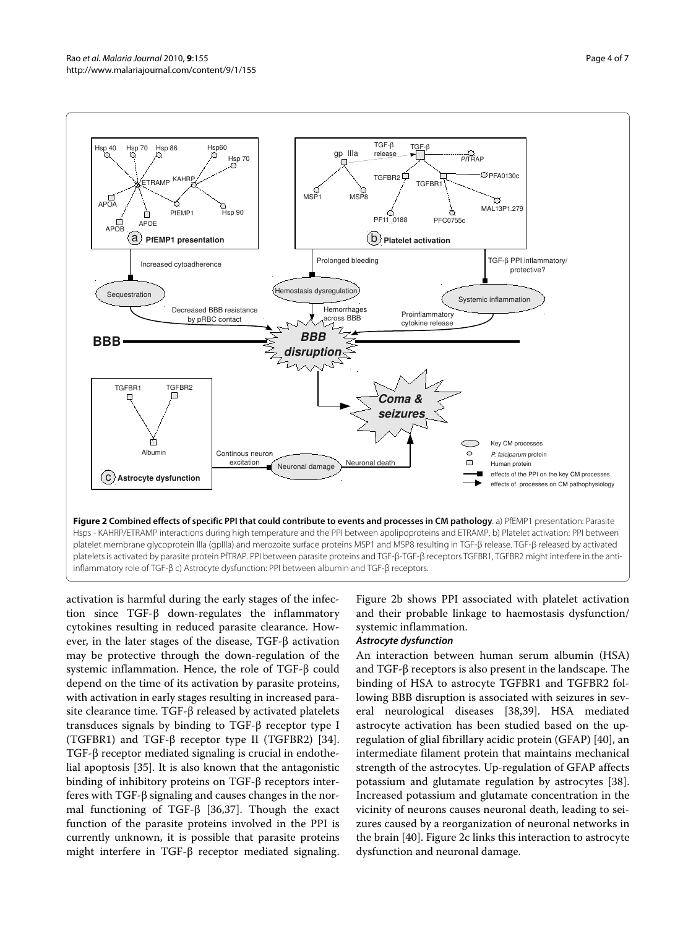<span id="page-3-0"></span>

activation is harmful during the early stages of the infection since TGF-β down-regulates the inflammatory cytokines resulting in reduced parasite clearance. However, in the later stages of the disease, TGF-β activation may be protective through the down-regulation of the systemic inflammation. Hence, the role of TGF-β could depend on the time of its activation by parasite proteins, with activation in early stages resulting in increased parasite clearance time. TGF-β released by activated platelets transduces signals by binding to TGF-β receptor type I (TGFBR1) and TGF- $\beta$  receptor type II (TGFBR2) [\[34](#page-6-1)]. TGF-β receptor mediated signaling is crucial in endothelial apoptosis [\[35](#page-6-2)]. It is also known that the antagonistic binding of inhibitory proteins on TGF-β receptors interferes with TGF-β signaling and causes changes in the normal functioning of TGF-β [\[36,](#page-6-3)[37\]](#page-6-4). Though the exact function of the parasite proteins involved in the PPI is currently unknown, it is possible that parasite proteins might interfere in TGF-β receptor mediated signaling.

Figure [2](#page-3-0)b shows PPI associated with platelet activation and their probable linkage to haemostasis dysfunction/ systemic inflammation.

#### *Astrocyte dysfunction*

An interaction between human serum albumin (HSA) and TGF-β receptors is also present in the landscape. The binding of HSA to astrocyte TGFBR1 and TGFBR2 following BBB disruption is associated with seizures in several neurological diseases [[38,](#page-6-5)[39\]](#page-6-6). HSA mediated astrocyte activation has been studied based on the upregulation of glial fibrillary acidic protein (GFAP) [[40\]](#page-6-7), an intermediate filament protein that maintains mechanical strength of the astrocytes. Up-regulation of GFAP affects potassium and glutamate regulation by astrocytes [\[38](#page-6-5)]. Increased potassium and glutamate concentration in the vicinity of neurons causes neuronal death, leading to seizures caused by a reorganization of neuronal networks in the brain [[40\]](#page-6-7). Figure [2c](#page-3-0) links this interaction to astrocyte dysfunction and neuronal damage.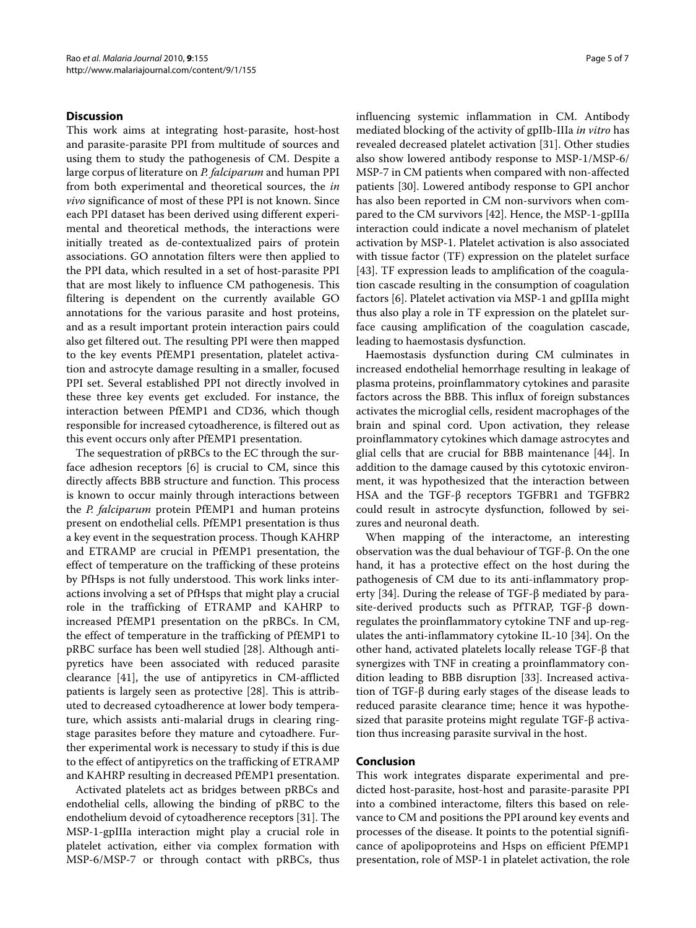#### **Discussion**

This work aims at integrating host-parasite, host-host and parasite-parasite PPI from multitude of sources and using them to study the pathogenesis of CM. Despite a large corpus of literature on *P. falciparum* and human PPI from both experimental and theoretical sources, the *in vivo* significance of most of these PPI is not known. Since each PPI dataset has been derived using different experimental and theoretical methods, the interactions were initially treated as de-contextualized pairs of protein associations. GO annotation filters were then applied to the PPI data, which resulted in a set of host-parasite PPI that are most likely to influence CM pathogenesis. This filtering is dependent on the currently available GO annotations for the various parasite and host proteins, and as a result important protein interaction pairs could also get filtered out. The resulting PPI were then mapped to the key events PfEMP1 presentation, platelet activation and astrocyte damage resulting in a smaller, focused PPI set. Several established PPI not directly involved in these three key events get excluded. For instance, the interaction between PfEMP1 and CD36, which though responsible for increased cytoadherence, is filtered out as this event occurs only after PfEMP1 presentation.

The sequestration of pRBCs to the EC through the surface adhesion receptors [[6\]](#page-5-5) is crucial to CM, since this directly affects BBB structure and function. This process is known to occur mainly through interactions between the *P. falciparum* protein PfEMP1 and human proteins present on endothelial cells. PfEMP1 presentation is thus a key event in the sequestration process. Though KAHRP and ETRAMP are crucial in PfEMP1 presentation, the effect of temperature on the trafficking of these proteins by PfHsps is not fully understood. This work links interactions involving a set of PfHsps that might play a crucial role in the trafficking of ETRAMP and KAHRP to increased PfEMP1 presentation on the pRBCs. In CM, the effect of temperature in the trafficking of PfEMP1 to pRBC surface has been well studied [\[28](#page-5-26)]. Although antipyretics have been associated with reduced parasite clearance [[41\]](#page-6-8), the use of antipyretics in CM-afflicted patients is largely seen as protective [\[28](#page-5-26)]. This is attributed to decreased cytoadherence at lower body temperature, which assists anti-malarial drugs in clearing ringstage parasites before they mature and cytoadhere. Further experimental work is necessary to study if this is due to the effect of antipyretics on the trafficking of ETRAMP and KAHRP resulting in decreased PfEMP1 presentation.

Activated platelets act as bridges between pRBCs and endothelial cells, allowing the binding of pRBC to the endothelium devoid of cytoadherence receptors [[31\]](#page-5-29). The MSP-1-gpIIIa interaction might play a crucial role in platelet activation, either via complex formation with MSP-6/MSP-7 or through contact with pRBCs, thus influencing systemic inflammation in CM. Antibody mediated blocking of the activity of gpIIb-IIIa *in vitro* has revealed decreased platelet activation [[31](#page-5-29)]. Other studies also show lowered antibody response to MSP-1/MSP-6/ MSP-7 in CM patients when compared with non-affected patients [[30](#page-5-28)]. Lowered antibody response to GPI anchor has also been reported in CM non-survivors when compared to the CM survivors [\[42](#page-6-9)]. Hence, the MSP-1-gpIIIa interaction could indicate a novel mechanism of platelet activation by MSP-1. Platelet activation is also associated with tissue factor (TF) expression on the platelet surface [[43\]](#page-6-10). TF expression leads to amplification of the coagulation cascade resulting in the consumption of coagulation factors [\[6\]](#page-5-5). Platelet activation via MSP-1 and gpIIIa might thus also play a role in TF expression on the platelet surface causing amplification of the coagulation cascade, leading to haemostasis dysfunction.

Haemostasis dysfunction during CM culminates in increased endothelial hemorrhage resulting in leakage of plasma proteins, proinflammatory cytokines and parasite factors across the BBB. This influx of foreign substances activates the microglial cells, resident macrophages of the brain and spinal cord. Upon activation, they release proinflammatory cytokines which damage astrocytes and glial cells that are crucial for BBB maintenance [\[44\]](#page-6-11). In addition to the damage caused by this cytotoxic environment, it was hypothesized that the interaction between HSA and the TGF-β receptors TGFBR1 and TGFBR2 could result in astrocyte dysfunction, followed by seizures and neuronal death.

When mapping of the interactome, an interesting observation was the dual behaviour of TGF-β. On the one hand, it has a protective effect on the host during the pathogenesis of CM due to its anti-inflammatory property [[34](#page-6-1)]. During the release of TGF-β mediated by parasite-derived products such as PfTRAP, TGF-β downregulates the proinflammatory cytokine TNF and up-regulates the anti-inflammatory cytokine IL-10 [[34](#page-6-1)]. On the other hand, activated platelets locally release TGF-β that synergizes with TNF in creating a proinflammatory condition leading to BBB disruption [[33\]](#page-6-0). Increased activation of TGF-β during early stages of the disease leads to reduced parasite clearance time; hence it was hypothesized that parasite proteins might regulate TGF-β activation thus increasing parasite survival in the host.

### **Conclusion**

This work integrates disparate experimental and predicted host-parasite, host-host and parasite-parasite PPI into a combined interactome, filters this based on relevance to CM and positions the PPI around key events and processes of the disease. It points to the potential significance of apolipoproteins and Hsps on efficient PfEMP1 presentation, role of MSP-1 in platelet activation, the role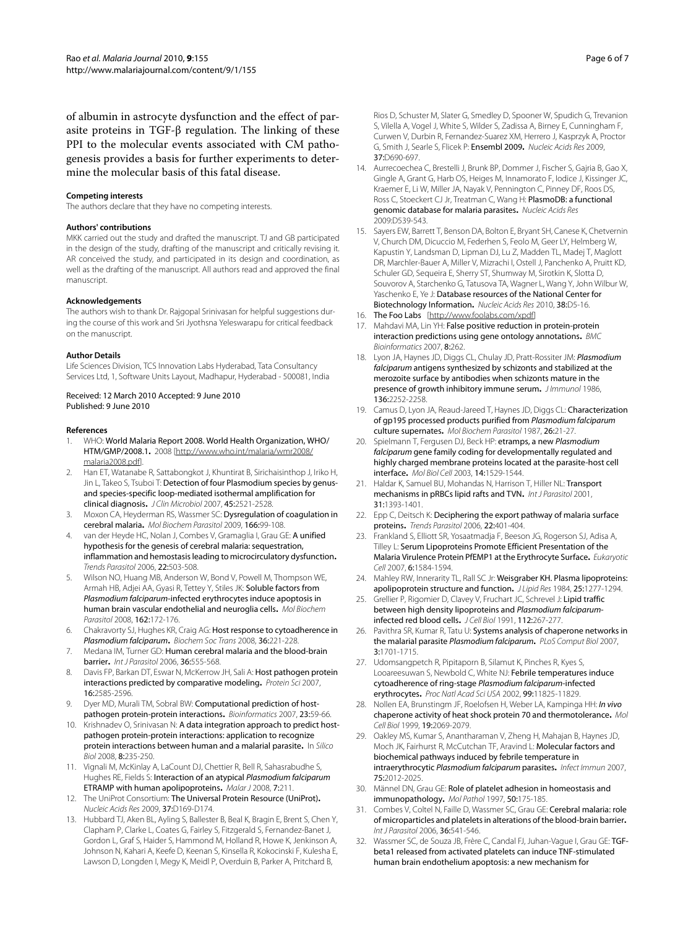of albumin in astrocyte dysfunction and the effect of parasite proteins in TGF-β regulation. The linking of these PPI to the molecular events associated with CM pathogenesis provides a basis for further experiments to determine the molecular basis of this fatal disease.

#### **Competing interests**

The authors declare that they have no competing interests.

#### **Authors' contributions**

MKK carried out the study and drafted the manuscript. TJ and GB participated in the design of the study, drafting of the manuscript and critically revising it. AR conceived the study, and participated in its design and coordination, as well as the drafting of the manuscript. All authors read and approved the final manuscript.

#### **Acknowledgements**

The authors wish to thank Dr. Rajgopal Srinivasan for helpful suggestions during the course of this work and Sri Jyothsna Yeleswarapu for critical feedback on the manuscript.

#### **Author Details**

Life Sciences Division, TCS Innovation Labs Hyderabad, Tata Consultancy Services Ltd, 1, Software Units Layout, Madhapur, Hyderabad - 500081, India

#### Received: 12 March 2010 Accepted: 9 June 2010 Published: 9 June 2010

#### **References**

- <span id="page-5-0"></span>WHO: World Malaria Report 2008. World Health Organization, WHO/ HTM/GMP/2008.1**.** 2008 [[http://www.who.int/malaria/wmr2008/](http://www.who.int/malaria/wmr2008/malaria2008.pdf) [malaria2008.pdf\]](http://www.who.int/malaria/wmr2008/malaria2008.pdf).
- <span id="page-5-1"></span>2. Han ET, Watanabe R, Sattabongkot J, Khuntirat B, Sirichaisinthop J, Iriko H, Jin L, Takeo S, Tsuboi T: Detection of four Plasmodium species by genusand species-specific loop-mediated isothermal amplification for clinical diagnosis**[.](http://www.ncbi.nlm.nih.gov/entrez/query.fcgi?cmd=Retrieve&db=PubMed&dopt=Abstract&list_uids=17567794)** J Clin Microbiol 2007, 45:2521-2528.
- <span id="page-5-2"></span>3. Moxon CA, Heyderman RS, Wassmer SC: Dysregulation of coagulation in cerebral malaria**.** Mol Biochem Parasitol 2009, 166:99-108.
- <span id="page-5-3"></span>4. van der Heyde HC, Nolan J, Combes V, Gramaglia I, Grau GE: A unified hypothesis for the genesis of cerebral malaria: sequestration, inflammation and hemostasis leading to microcirculatory dysfunction**.** Trends Parasitol 2006, 22:503-508.
- <span id="page-5-4"></span>5. Wilson NO, Huang MB, Anderson W, Bond V, Powell M, Thompson WE, Armah HB, Adjei AA, Gyasi R, Tettey Y, Stiles JK: Soluble factors from Plasmodium falciparum-infected erythrocytes induce apoptosis in human brain vascular endothelial and neuroglia cells**.** Mol Biochem Parasitol 2008, 162:172-176.
- <span id="page-5-5"></span>6. Chakravorty SJ, Hughes KR, Craig AG: Host response to cytoadherence in Plasmodium falciparum**.** Biochem Soc Trans 2008, 36:221-228.
- <span id="page-5-6"></span>7. Medana IM, Turner GD: Human cerebral malaria and the blood-brain barrier**[.](http://www.ncbi.nlm.nih.gov/entrez/query.fcgi?cmd=Retrieve&db=PubMed&dopt=Abstract&list_uids=16616145)** Int J Parasitol 2006, 36:555-568.
- <span id="page-5-7"></span>8. Davis FP, Barkan DT, Eswar N, McKerrow JH, Sali A: Host pathogen protein interactions predicted by comparative modeling**.** Protein Sci 2007, 16:2585-2596.
- <span id="page-5-12"></span>9. Dyer MD, Murali TM, Sobral BW: Computational prediction of hostpathogen protein-protein interactions**.** Bioinformatics 2007, 23:59-66.
- <span id="page-5-13"></span>10. Krishnadev O, Srinivasan N: A data integration approach to predict hostpathogen protein-protein interactions: application to recognize protein interactions between human and a malarial parasite**.** In Silico Biol 2008, 8:235-250.
- <span id="page-5-8"></span>11. Vignali M, McKinlay A, LaCount DJ, Chettier R, Bell R, Sahasrabudhe S, Hughes RE, Fields S: Interaction of an atypical Plasmodium falciparum ETRAMP with human apolipoproteins**.** Malar J 2008, 7:211.
- <span id="page-5-9"></span>12. The UniProt Consortium: The Universal Protein Resource (UniProt)**.** Nucleic Acids Res 2009, 37:D169-D174.
- <span id="page-5-10"></span>13. Hubbard TJ, Aken BL, Ayling S, Ballester B, Beal K, Bragin E, Brent S, Chen Y, Clapham P, Clarke L, Coates G, Fairley S, Fitzgerald S, Fernandez-Banet J, Gordon L, Graf S, Haider S, Hammond M, Holland R, Howe K, Jenkinson A, Johnson N, Kahari A, Keefe D, Keenan S, Kinsella R, Kokocinski F, Kulesha E, Lawson D, Longden I, Megy K, Meidl P, Overduin B, Parker A, Pritchard B,

Rios D, Schuster M, Slater G, Smedley D, Spooner W, Spudich G, Trevanion S, Vilella A, Vogel J, White S, Wilder S, Zadissa A, Birney E, Cunningham F, Curwen V, Durbin R, Fernandez-Suarez XM, Herrero J, Kasprzyk A, Proctor G, Smith J, Searle S, Flicek P: Ensembl 2009**.** Nucleic Acids Res 2009, 37:D690-697.

- <span id="page-5-11"></span>14. Aurrecoechea C, Brestelli J, Brunk BP, Dommer J, Fischer S, Gajria B, Gao X, Gingle A, Grant G, Harb OS, Heiges M, Innamorato F, Iodice J, Kissinger JC, Kraemer E, Li W, Miller JA, Nayak V, Pennington C, Pinney DF, Roos DS, Ross C, Stoeckert CJ Jr, Treatman C, Wang H: PlasmoDB: a functional genomic database for malaria parasites**.** Nucleic Acids Res 2009:D539-543.
- <span id="page-5-14"></span>15. Sayers EW, Barrett T, Benson DA, Bolton E, Bryant SH, Canese K, Chetvernin V, Church DM, Dicuccio M, Federhen S, Feolo M, Geer LY, Helmberg W, Kapustin Y, Landsman D, Lipman DJ, Lu Z, Madden TL, Madej T, Maglott DR, Marchler-Bauer A, Miller V, Mizrachi I, Ostell J, Panchenko A, Pruitt KD, Schuler GD, Sequeira E, Sherry ST, Shumway M, Sirotkin K, Slotta D, Souvorov A, Starchenko G, Tatusova TA, Wagner L, Wang Y, John Wilbur W, Yaschenko E, Ye J: Database resources of the National Center for Biotechnology Information**.** Nucleic Acids Res 2010, 38:D5-16.
- <span id="page-5-15"></span>16. The Foo Labs [\[http://www.foolabs.com/xpdf\]](http://www.foolabs.com/xpdf)
- <span id="page-5-16"></span>17. Mahdavi MA, Lin YH: False positive reduction in protein-protein interaction predictions using gene ontology annotations**.** BMC Bioinformatics 2007, 8:262.
- <span id="page-5-17"></span>18. Lyon JA, Haynes JD, Diggs CL, Chulay JD, Pratt-Rossiter JM: Plasmodium falciparum antigens synthesized by schizonts and stabilized at the merozoite surface by antibodies when schizonts mature in the presence of growth inhibitory immune serum[.](http://www.ncbi.nlm.nih.gov/entrez/query.fcgi?cmd=Retrieve&db=PubMed&dopt=Abstract&list_uids=3512711) JImmunol 1986, 136:2252-2258.
- 19. Camus D, Lyon JA, Reaud-Jareed T, Haynes JD, Diggs CL: Characterization of gp195 processed products purified from Plasmodium falciparum culture supernates**.** Mol Biochem Parasitol 1987, 26:21-27.
- <span id="page-5-18"></span>20. Spielmann T, Fergusen DJ, Beck HP: etramps, a new Plasmodium falciparum gene family coding for developmentally regulated and highly charged membrane proteins located at the parasite-host cell interface**[.](http://www.ncbi.nlm.nih.gov/entrez/query.fcgi?cmd=Retrieve&db=PubMed&dopt=Abstract&list_uids=12686607)** Mol Biol Cell 2003, 14:1529-1544.
- <span id="page-5-19"></span>21. Haldar K, Samuel BU, Mohandas N, Harrison T, Hiller NL: Transport mechanisms in pRBCs lipid rafts and TVN**.** Int J Parasitol 2001, 31:1393-1401.
- <span id="page-5-20"></span>22. Epp C, Deitsch K: Deciphering the export pathway of malaria surface proteins**.** Trends Parasitol 2006, 22:401-404.
- <span id="page-5-21"></span>23. Frankland S, Elliott SR, Yosaatmadja F, Beeson JG, Rogerson SJ, Adisa A, Tilley L: Serum Lipoproteins Promote Efficient Presentation of the Malaria Virulence Protein PfEMP1 at the Erythrocyte Surface**.** Eukaryotic Cell 2007, 6:1584-1594.
- <span id="page-5-22"></span>24. Mahley RW, Innerarity TL, Rall SC Jr: Weisgraber KH. Plasma lipoproteins: apolipoprotein structure and function. *I Lipid Res* 1984, 25:1277-1294.
- <span id="page-5-23"></span>25. Grellier P, Rigomier D, Clavey V, Fruchart JC, Schrevel J: Lipid traffic between high density lipoproteins and Plasmodium falciparuminfected red blood cells**.** J Cell Biol 1991, 112:267-277.
- <span id="page-5-24"></span>26. Pavithra SR, Kumar R, Tatu U: Systems analysis of chaperone networks in the malarial parasite Plasmodium falciparum**.** PLoS Comput Biol 2007, 3:1701-1715.
- <span id="page-5-25"></span>27. Udomsangpetch R, Pipitaporn B, Silamut K, Pinches R, Kyes S, Looareesuwan S, Newbold C, White NJ: Febrile temperatures induce cytoadherence of ring-stage Plasmodium falciparum-infected erythrocytes**.** Proc Natl Acad Sci USA 2002, 99:11825-11829.
- <span id="page-5-26"></span>28. Nollen EA, Brunstingm JF, Roelofsen H, Weber LA, Kampinga HH: In vivo chaperone activity of heat shock protein 70 and thermotolerance**[.](http://www.ncbi.nlm.nih.gov/entrez/query.fcgi?cmd=Retrieve&db=PubMed&dopt=Abstract&list_uids=10022894)** Mol Cell Biol 1999, 19:2069-2079.
- <span id="page-5-27"></span>29. Oakley MS, Kumar S, Anantharaman V, Zheng H, Mahajan B, Haynes JD, Moch JK, Fairhurst R, McCutchan TF, Aravind L: Molecular factors and biochemical pathways induced by febrile temperature in intraerythrocytic Plasmodium falciparum parasites**[.](http://www.ncbi.nlm.nih.gov/entrez/query.fcgi?cmd=Retrieve&db=PubMed&dopt=Abstract&list_uids=17283083)** Infect Immun 2007, 75:2012-2025.
- <span id="page-5-28"></span>30. Männel DN, Grau GE: Role of platelet adhesion in homeostasis and immunopathology**.** Mol Pathol 1997, 50:175-185.
- <span id="page-5-29"></span>31. Combes V, Coltel N, Faille D, Wassmer SC, Grau GE: Cerebral malaria: role of microparticles and platelets in alterations of the blood-brain barrier**.** Int J Parasitol 2006, 36:541-546.
- <span id="page-5-30"></span>32. Wassmer SC, de Souza JB, Frère C, Candal FJ, Juhan-Vague I, Grau GE: TGFbeta1 released from activated platelets can induce TNF-stimulated human brain endothelium apoptosis: a new mechanism for